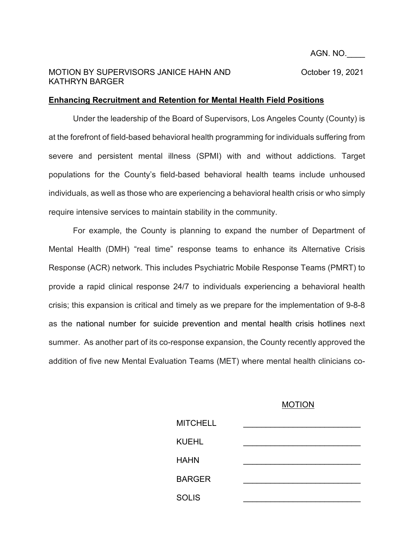## MOTION BY SUPERVISORS JANICE HAHN AND October 19, 2021 KATHRYN BARGER

## **Enhancing Recruitment and Retention for Mental Health Field Positions**

Under the leadership of the Board of Supervisors, Los Angeles County (County) is at the forefront of field-based behavioral health programming for individuals suffering from severe and persistent mental illness (SPMI) with and without addictions. Target populations for the County's field-based behavioral health teams include unhoused individuals, as well as those who are experiencing a behavioral health crisis or who simply require intensive services to maintain stability in the community.

For example, the County is planning to expand the number of Department of Mental Health (DMH) "real time" response teams to enhance its Alternative Crisis Response (ACR) network. This includes Psychiatric Mobile Response Teams (PMRT) to provide a rapid clinical response 24/7 to individuals experiencing a behavioral health crisis; this expansion is critical and timely as we prepare for the implementation of 9-8-8 as the national number for suicide prevention and mental health crisis hotlines next summer. As another part of its co-response expansion, the County recently approved the addition of five new Mental Evaluation Teams (MET) where mental health clinicians co-

## MOTION

| <b>MITCHELL</b> |  |
|-----------------|--|
| <b>KUEHL</b>    |  |
| <b>HAHN</b>     |  |
| <b>BARGER</b>   |  |
|                 |  |
| <b>SOLIS</b>    |  |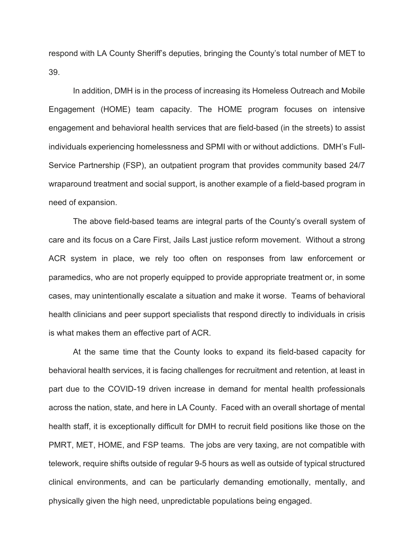respond with LA County Sheriff's deputies, bringing the County's total number of MET to 39.

In addition, DMH is in the process of increasing its Homeless Outreach and Mobile Engagement (HOME) team capacity. The HOME program focuses on intensive engagement and behavioral health services that are field-based (in the streets) to assist individuals experiencing homelessness and SPMI with or without addictions. DMH's Full-Service Partnership (FSP), an outpatient program that provides community based 24/7 wraparound treatment and social support, is another example of a field-based program in need of expansion.

The above field-based teams are integral parts of the County's overall system of care and its focus on a Care First, Jails Last justice reform movement. Without a strong ACR system in place, we rely too often on responses from law enforcement or paramedics, who are not properly equipped to provide appropriate treatment or, in some cases, may unintentionally escalate a situation and make it worse. Teams of behavioral health clinicians and peer support specialists that respond directly to individuals in crisis is what makes them an effective part of ACR.

At the same time that the County looks to expand its field-based capacity for behavioral health services, it is facing challenges for recruitment and retention, at least in part due to the COVID-19 driven increase in demand for mental health professionals across the nation, state, and here in LA County. Faced with an overall shortage of mental health staff, it is exceptionally difficult for DMH to recruit field positions like those on the PMRT, MET, HOME, and FSP teams. The jobs are very taxing, are not compatible with telework, require shifts outside of regular 9-5 hours as well as outside of typical structured clinical environments, and can be particularly demanding emotionally, mentally, and physically given the high need, unpredictable populations being engaged.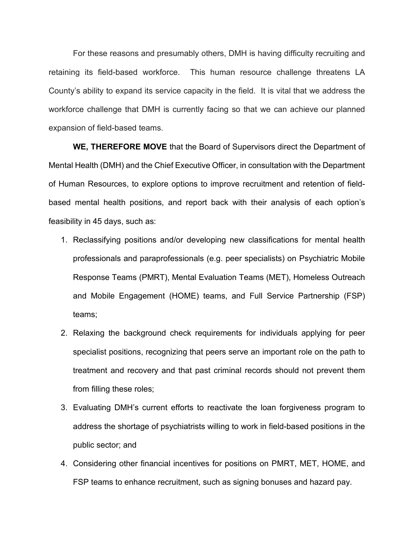For these reasons and presumably others, DMH is having difficulty recruiting and retaining its field-based workforce. This human resource challenge threatens LA County's ability to expand its service capacity in the field. It is vital that we address the workforce challenge that DMH is currently facing so that we can achieve our planned expansion of field-based teams.

**WE, THEREFORE MOVE** that the Board of Supervisors direct the Department of Mental Health (DMH) and the Chief Executive Officer, in consultation with the Department of Human Resources, to explore options to improve recruitment and retention of fieldbased mental health positions, and report back with their analysis of each option's feasibility in 45 days, such as:

- 1. Reclassifying positions and/or developing new classifications for mental health professionals and paraprofessionals (e.g. peer specialists) on Psychiatric Mobile Response Teams (PMRT), Mental Evaluation Teams (MET), Homeless Outreach and Mobile Engagement (HOME) teams, and Full Service Partnership (FSP) teams;
- 2. Relaxing the background check requirements for individuals applying for peer specialist positions, recognizing that peers serve an important role on the path to treatment and recovery and that past criminal records should not prevent them from filling these roles;
- 3. Evaluating DMH's current efforts to reactivate the loan forgiveness program to address the shortage of psychiatrists willing to work in field-based positions in the public sector; and
- 4. Considering other financial incentives for positions on PMRT, MET, HOME, and FSP teams to enhance recruitment, such as signing bonuses and hazard pay.